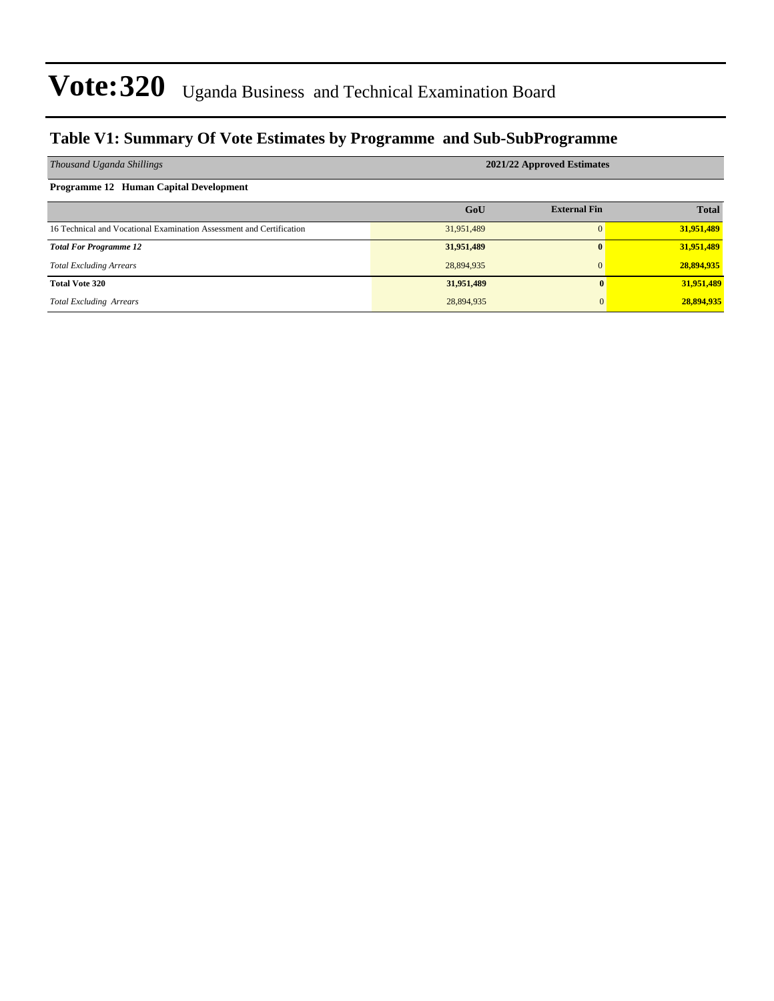### **Table V1: Summary Of Vote Estimates by Programme and Sub-SubProgramme**

| Thousand Uganda Shillings                                            | 2021/22 Approved Estimates |                     |              |  |  |  |  |  |
|----------------------------------------------------------------------|----------------------------|---------------------|--------------|--|--|--|--|--|
| <b>Programme 12 Human Capital Development</b>                        |                            |                     |              |  |  |  |  |  |
|                                                                      | GoU                        | <b>External Fin</b> | <b>Total</b> |  |  |  |  |  |
| 16 Technical and Vocational Examination Assessment and Certification | 31,951,489                 |                     | 31,951,489   |  |  |  |  |  |
| <b>Total For Programme 12</b>                                        | 31,951,489                 | $\mathbf{0}$        | 31,951,489   |  |  |  |  |  |
| <b>Total Excluding Arrears</b>                                       | 28,894,935                 |                     | 28,894,935   |  |  |  |  |  |
| <b>Total Vote 320</b>                                                | 31,951,489                 |                     | 31,951,489   |  |  |  |  |  |
| <b>Total Excluding Arrears</b>                                       | 28,894,935                 | 0                   | 28,894,935   |  |  |  |  |  |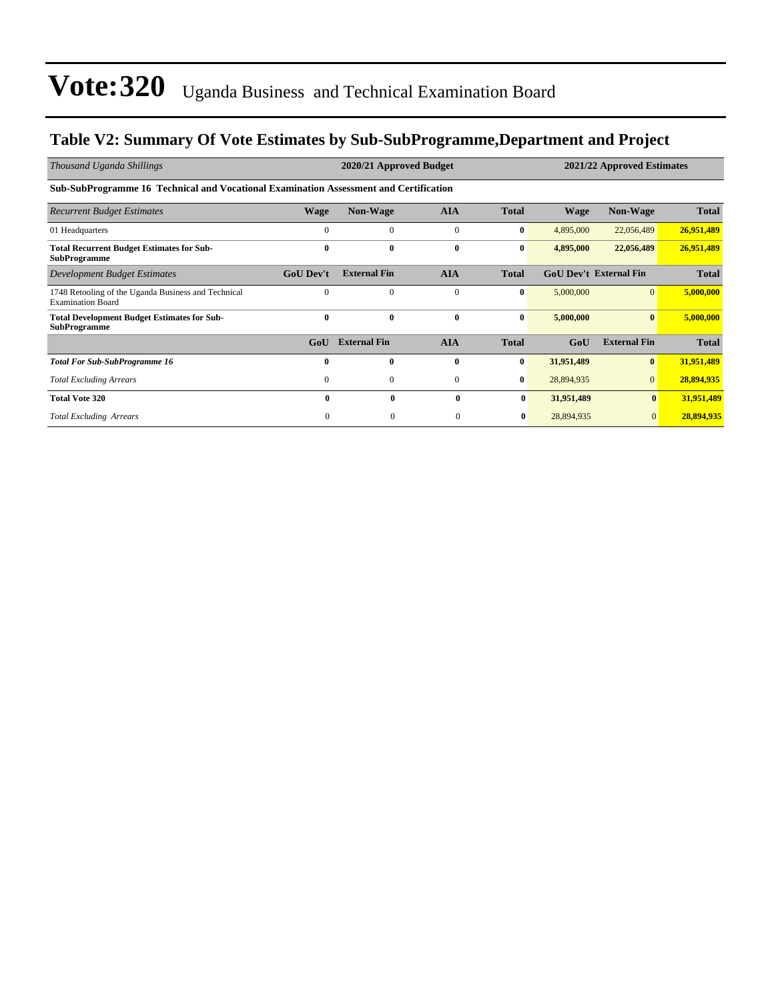### **Table V2: Summary Of Vote Estimates by Sub-SubProgramme,Department and Project**

| Thousand Uganda Shillings                                                             |                  | 2020/21 Approved Budget |              |              | 2021/22 Approved Estimates |                               |              |  |  |  |
|---------------------------------------------------------------------------------------|------------------|-------------------------|--------------|--------------|----------------------------|-------------------------------|--------------|--|--|--|
| Sub-SubProgramme 16 Technical and Vocational Examination Assessment and Certification |                  |                         |              |              |                            |                               |              |  |  |  |
| <b>Recurrent Budget Estimates</b>                                                     | Wage             | <b>Non-Wage</b>         | <b>AIA</b>   | <b>Total</b> | <b>Wage</b>                | <b>Non-Wage</b>               | <b>Total</b> |  |  |  |
| 01 Headquarters                                                                       | $\Omega$         | $\Omega$                | $\mathbf{0}$ | $\bf{0}$     | 4,895,000                  | 22,056,489                    | 26,951,489   |  |  |  |
| <b>Total Recurrent Budget Estimates for Sub-</b><br><b>SubProgramme</b>               | 0                | $\bf{0}$                | $\bf{0}$     | $\bf{0}$     | 4,895,000                  | 22,056,489                    | 26,951,489   |  |  |  |
| Development Budget Estimates                                                          | <b>GoU Dev't</b> | <b>External Fin</b>     | <b>AIA</b>   | <b>Total</b> |                            | <b>GoU Dev't External Fin</b> | <b>Total</b> |  |  |  |
| 1748 Retooling of the Uganda Business and Technical<br><b>Examination Board</b>       | $\Omega$         | $\Omega$                | $\mathbf{0}$ | $\bf{0}$     | 5,000,000                  | $\Omega$                      | 5,000,000    |  |  |  |
| <b>Total Development Budget Estimates for Sub-</b><br><b>SubProgramme</b>             | $\bf{0}$         | $\mathbf{0}$            | $\bf{0}$     | $\bf{0}$     | 5,000,000                  | $\mathbf{0}$                  | 5,000,000    |  |  |  |
|                                                                                       | GoU              | <b>External Fin</b>     | <b>AIA</b>   | <b>Total</b> | GoU                        | <b>External Fin</b>           | <b>Total</b> |  |  |  |
| <b>Total For Sub-SubProgramme 16</b>                                                  | 0                | $\bf{0}$                | $\bf{0}$     | $\bf{0}$     | 31,951,489                 | $\mathbf{0}$                  | 31,951,489   |  |  |  |
| <b>Total Excluding Arrears</b>                                                        | $\mathbf{0}$     | $\mathbf{0}$            | $\mathbf{0}$ | $\bf{0}$     | 28,894,935                 | $\mathbf{0}$                  | 28,894,935   |  |  |  |
| <b>Total Vote 320</b>                                                                 | 0                | $\bf{0}$                | $\mathbf{0}$ | $\bf{0}$     | 31,951,489                 | $\bf{0}$                      | 31,951,489   |  |  |  |
| <b>Total Excluding Arrears</b>                                                        | $\Omega$         | $\Omega$                | $\Omega$     | $\bf{0}$     | 28,894,935                 | $\mathbf{0}$                  | 28,894,935   |  |  |  |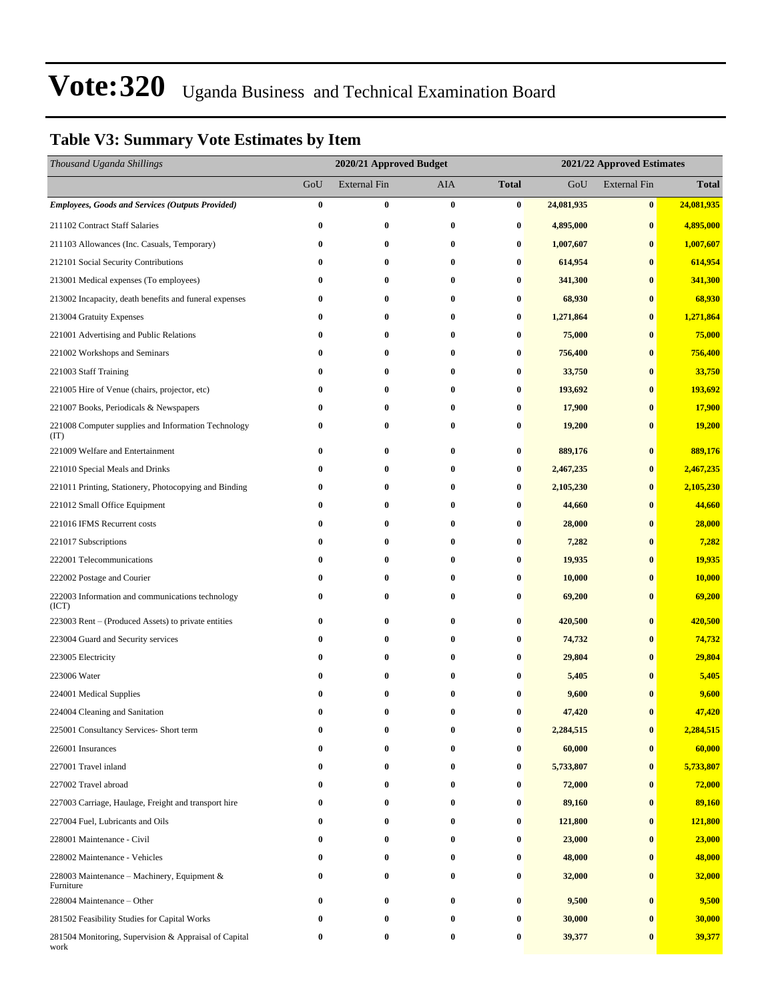### **Table V3: Summary Vote Estimates by Item**

| Thousand Uganda Shillings                                     | 2020/21 Approved Budget |                     |          |                  | 2021/22 Approved Estimates |                     |              |  |
|---------------------------------------------------------------|-------------------------|---------------------|----------|------------------|----------------------------|---------------------|--------------|--|
|                                                               | GoU                     | <b>External Fin</b> | AIA      | <b>Total</b>     | GoU                        | <b>External Fin</b> | <b>Total</b> |  |
| <b>Employees, Goods and Services (Outputs Provided)</b>       | $\bf{0}$                | $\bf{0}$            | $\bf{0}$ | 0                | 24,081,935                 | $\bf{0}$            | 24,081,935   |  |
| 211102 Contract Staff Salaries                                | $\bf{0}$                | 0                   | 0        | 0                | 4,895,000                  | $\bf{0}$            | 4,895,000    |  |
| 211103 Allowances (Inc. Casuals, Temporary)                   | $\bf{0}$                | 0                   | $\bf{0}$ | 0                | 1,007,607                  | $\bf{0}$            | 1,007,607    |  |
| 212101 Social Security Contributions                          | $\bf{0}$                | 0                   | $\bf{0}$ | 0                | 614,954                    | $\bf{0}$            | 614,954      |  |
| 213001 Medical expenses (To employees)                        | 0                       | 0                   | $\bf{0}$ | 0                | 341,300                    | $\bf{0}$            | 341,300      |  |
| 213002 Incapacity, death benefits and funeral expenses        | $\bf{0}$                | $\bf{0}$            | $\bf{0}$ | 0                | 68,930                     | $\bf{0}$            | 68,930       |  |
| 213004 Gratuity Expenses                                      | $\bf{0}$                | 0                   | $\bf{0}$ | 0                | 1,271,864                  | $\bf{0}$            | 1,271,864    |  |
| 221001 Advertising and Public Relations                       | 0                       | $\bf{0}$            | $\bf{0}$ | 0                | 75,000                     | $\bf{0}$            | 75,000       |  |
| 221002 Workshops and Seminars                                 | $\bf{0}$                | 0                   | $\bf{0}$ | 0                | 756,400                    | $\bf{0}$            | 756,400      |  |
| 221003 Staff Training                                         | $\bf{0}$                | 0                   | $\bf{0}$ | 0                | 33,750                     | $\bf{0}$            | 33,750       |  |
| 221005 Hire of Venue (chairs, projector, etc)                 | $\bf{0}$                | $\bf{0}$            | $\bf{0}$ | 0                | 193,692                    | $\bf{0}$            | 193,692      |  |
| 221007 Books, Periodicals & Newspapers                        | $\bf{0}$                | 0                   | $\bf{0}$ | 0                | 17,900                     | $\bf{0}$            | 17,900       |  |
| 221008 Computer supplies and Information Technology<br>(TT)   | 0                       | 0                   | $\bf{0}$ | 0                | 19,200                     | $\bf{0}$            | 19,200       |  |
| 221009 Welfare and Entertainment                              | $\bf{0}$                | 0                   | $\bf{0}$ | 0                | 889,176                    | $\bf{0}$            | 889,176      |  |
| 221010 Special Meals and Drinks                               | $\bf{0}$                | $\bf{0}$            | 0        | $\bf{0}$         | 2,467,235                  | $\bf{0}$            | 2,467,235    |  |
| 221011 Printing, Stationery, Photocopying and Binding         | 0                       | $\bf{0}$            | $\bf{0}$ | 0                | 2,105,230                  | $\bf{0}$            | 2,105,230    |  |
| 221012 Small Office Equipment                                 | 0                       | 0                   | $\bf{0}$ | 0                | 44,660                     | $\bf{0}$            | 44,660       |  |
| 221016 IFMS Recurrent costs                                   | $\bf{0}$                | 0                   | 0        | 0                | 28,000                     | $\bf{0}$            | 28,000       |  |
| 221017 Subscriptions                                          | 0                       | $\bf{0}$            | $\bf{0}$ | $\bf{0}$         | 7,282                      | $\bf{0}$            | 7,282        |  |
| 222001 Telecommunications                                     | $\bf{0}$                | $\bf{0}$            | 0        | $\bf{0}$         | 19,935                     | $\bf{0}$            | 19,935       |  |
| 222002 Postage and Courier                                    | 0                       | $\bf{0}$            | $\bf{0}$ | 0                | 10,000                     | $\bf{0}$            | 10,000       |  |
| 222003 Information and communications technology<br>(ICT)     | 0                       | 0                   | $\bf{0}$ | 0                | 69,200                     | $\bf{0}$            | 69,200       |  |
| 223003 Rent – (Produced Assets) to private entities           | $\bf{0}$                | 0                   | 0        | 0                | 420,500                    | $\bf{0}$            | 420,500      |  |
| 223004 Guard and Security services                            | 0                       | 0                   | $\bf{0}$ | 0                | 74,732                     | $\bf{0}$            | 74,732       |  |
| 223005 Electricity                                            | 0                       | 0                   | $\bf{0}$ | 0                | 29,804                     | $\bf{0}$            | 29,804       |  |
| 223006 Water                                                  | 0                       | $\bf{0}$            | $\bf{0}$ | 0                | 5,405                      | $\bf{0}$            | 5,405        |  |
| 224001 Medical Supplies                                       |                         | $\bf{0}$            | $\bf{0}$ | 0                | 9,600                      | $\mathbf{0}$        | 9,600        |  |
| 224004 Cleaning and Sanitation                                | 0                       | 0                   | $\bf{0}$ | $\bf{0}$         | 47,420                     | $\bf{0}$            | 47,420       |  |
| 225001 Consultancy Services- Short term                       | 0                       | $\bf{0}$            | $\bf{0}$ | 0                | 2,284,515                  | $\bf{0}$            | 2,284,515    |  |
| 226001 Insurances                                             | 0                       | 0                   | 0        | 0                | 60,000                     | $\bf{0}$            | 60,000       |  |
| 227001 Travel inland                                          | 0                       | 0                   | 0        | $\boldsymbol{0}$ | 5,733,807                  | $\bf{0}$            | 5,733,807    |  |
| 227002 Travel abroad                                          | 0                       | $\bf{0}$            | $\bf{0}$ | 0                | 72,000                     | $\bf{0}$            | 72,000       |  |
| 227003 Carriage, Haulage, Freight and transport hire          | 0                       | $\bf{0}$            | 0        | 0                | 89,160                     | $\bf{0}$            | 89,160       |  |
| 227004 Fuel, Lubricants and Oils                              | 0                       | 0                   | $\bf{0}$ | 0                | 121,800                    | $\bf{0}$            | 121,800      |  |
| 228001 Maintenance - Civil                                    | 0                       | 0                   | 0        | 0                | 23,000                     | $\bf{0}$            | 23,000       |  |
| 228002 Maintenance - Vehicles                                 | 0                       | 0                   | 0        | 0                | 48,000                     | $\bf{0}$            | 48,000       |  |
| 228003 Maintenance – Machinery, Equipment $\&$<br>Furniture   | 0                       | 0                   | $\bf{0}$ | 0                | 32,000                     | $\bf{0}$            | 32,000       |  |
| 228004 Maintenance - Other                                    | 0                       | 0                   | 0        | 0                | 9,500                      | $\bf{0}$            | 9,500        |  |
| 281502 Feasibility Studies for Capital Works                  |                         | $\bf{0}$            | $\bf{0}$ | 0                | 30,000                     | $\bf{0}$            | 30,000       |  |
| 281504 Monitoring, Supervision & Appraisal of Capital<br>work | 0                       | 0                   | 0        | 0                | 39,377                     | $\bf{0}$            | 39,377       |  |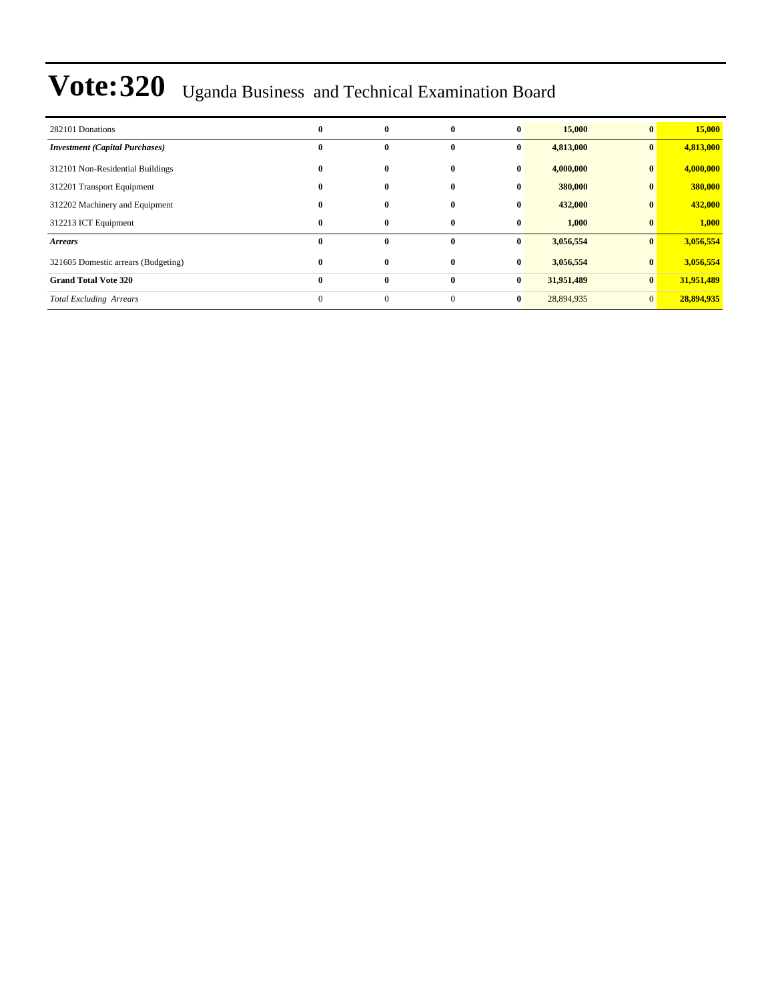| 282101 Donations                      | $\bf{0}$     | 0              | 0        | $\bf{0}$     | 15,000     |              | 15,000     |
|---------------------------------------|--------------|----------------|----------|--------------|------------|--------------|------------|
| <b>Investment</b> (Capital Purchases) | $\bf{0}$     | 0              | 0        | $\bf{0}$     | 4,813,000  | $\mathbf{0}$ | 4,813,000  |
| 312101 Non-Residential Buildings      | $\bf{0}$     | $\bf{0}$       | 0        | $\bf{0}$     | 4,000,000  | $\bf{0}$     | 4,000,000  |
| 312201 Transport Equipment            | $\bf{0}$     | $\bf{0}$       | $\bf{0}$ | $\bf{0}$     | 380,000    | $\mathbf{0}$ | 380,000    |
| 312202 Machinery and Equipment        | $\bf{0}$     | 0              | 0        | $\bf{0}$     | 432,000    |              | 432,000    |
| 312213 ICT Equipment                  | $\bf{0}$     | $\bf{0}$       | $\bf{0}$ | $\bf{0}$     | 1,000      |              | 1,000      |
| <b>Arrears</b>                        | $\bf{0}$     | $\bf{0}$       | 0        | $\bf{0}$     | 3,056,554  |              | 3,056,554  |
| 321605 Domestic arrears (Budgeting)   | $\bf{0}$     | $\bf{0}$       | $\bf{0}$ | $\mathbf{0}$ | 3,056,554  |              | 3,056,554  |
| <b>Grand Total Vote 320</b>           | $\bf{0}$     | $\bf{0}$       | $\bf{0}$ | $\bf{0}$     | 31,951,489 | $\bf{0}$     | 31,951,489 |
| <b>Total Excluding Arrears</b>        | $\mathbf{0}$ | $\overline{0}$ | $\Omega$ | $\bf{0}$     | 28,894,935 | $\Omega$     | 28,894,935 |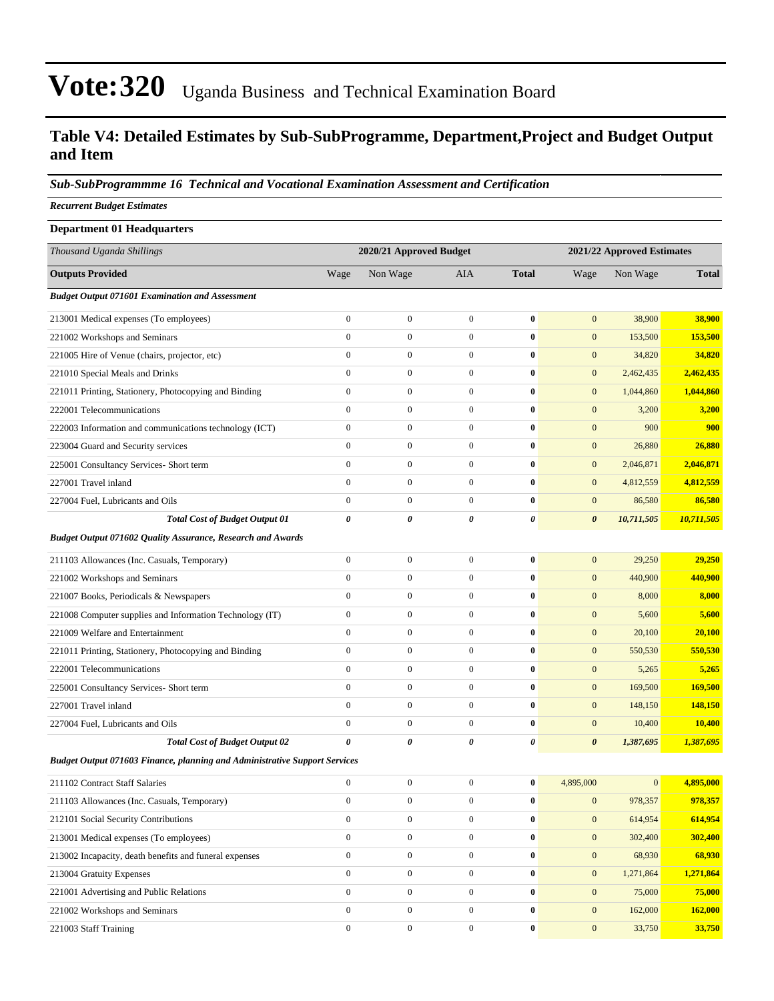### **Table V4: Detailed Estimates by Sub-SubProgramme, Department,Project and Budget Output and Item**

#### *Sub-SubProgrammme 16 Technical and Vocational Examination Assessment and Certification*

*Recurrent Budget Estimates*

| <b>Department 01 Headquarters</b>                                                 |                       |                         |                  |                  |                            |              |              |  |
|-----------------------------------------------------------------------------------|-----------------------|-------------------------|------------------|------------------|----------------------------|--------------|--------------|--|
| Thousand Uganda Shillings                                                         |                       | 2020/21 Approved Budget |                  |                  | 2021/22 Approved Estimates |              |              |  |
| <b>Outputs Provided</b>                                                           | Wage                  | Non Wage                | AIA              | <b>Total</b>     | Wage                       | Non Wage     | <b>Total</b> |  |
| <b>Budget Output 071601 Examination and Assessment</b>                            |                       |                         |                  |                  |                            |              |              |  |
| 213001 Medical expenses (To employees)                                            | $\boldsymbol{0}$      | $\boldsymbol{0}$        | $\boldsymbol{0}$ | $\bf{0}$         | $\mathbf{0}$               | 38,900       | 38,900       |  |
| 221002 Workshops and Seminars                                                     | $\mathbf{0}$          | $\boldsymbol{0}$        | $\boldsymbol{0}$ | $\bf{0}$         | $\mathbf{0}$               | 153,500      | 153,500      |  |
| 221005 Hire of Venue (chairs, projector, etc)                                     | $\boldsymbol{0}$      | $\boldsymbol{0}$        | $\boldsymbol{0}$ | $\bf{0}$         | $\mathbf{0}$               | 34,820       | 34,820       |  |
| 221010 Special Meals and Drinks                                                   | $\boldsymbol{0}$      | $\boldsymbol{0}$        | $\boldsymbol{0}$ | $\bf{0}$         | $\mathbf{0}$               | 2,462,435    | 2,462,435    |  |
| 221011 Printing, Stationery, Photocopying and Binding                             | $\boldsymbol{0}$      | $\boldsymbol{0}$        | $\boldsymbol{0}$ | $\bf{0}$         | $\mathbf{0}$               | 1,044,860    | 1,044,860    |  |
| 222001 Telecommunications                                                         | $\mathbf{0}$          | $\boldsymbol{0}$        | $\boldsymbol{0}$ | $\bf{0}$         | $\mathbf{0}$               | 3,200        | 3,200        |  |
| 222003 Information and communications technology (ICT)                            | $\mathbf{0}$          | $\boldsymbol{0}$        | $\boldsymbol{0}$ | $\bf{0}$         | $\mathbf{0}$               | 900          | 900          |  |
| 223004 Guard and Security services                                                | $\boldsymbol{0}$      | $\boldsymbol{0}$        | $\boldsymbol{0}$ | $\bf{0}$         | $\mathbf{0}$               | 26,880       | 26,880       |  |
| 225001 Consultancy Services- Short term                                           | $\boldsymbol{0}$      | $\boldsymbol{0}$        | $\boldsymbol{0}$ | $\bf{0}$         | $\mathbf{0}$               | 2,046,871    | 2,046,871    |  |
| 227001 Travel inland                                                              | $\overline{0}$        | $\boldsymbol{0}$        | $\boldsymbol{0}$ | $\bf{0}$         | $\mathbf{0}$               | 4,812,559    | 4,812,559    |  |
| 227004 Fuel, Lubricants and Oils                                                  | $\boldsymbol{0}$      | $\boldsymbol{0}$        | $\boldsymbol{0}$ | $\bf{0}$         | $\mathbf{0}$               | 86,580       | 86,580       |  |
| <b>Total Cost of Budget Output 01</b>                                             | $\boldsymbol{\theta}$ | 0                       | 0                | 0                | $\boldsymbol{\theta}$      | 10,711,505   | 10,711,505   |  |
| Budget Output 071602 Quality Assurance, Research and Awards                       |                       |                         |                  |                  |                            |              |              |  |
| 211103 Allowances (Inc. Casuals, Temporary)                                       | $\boldsymbol{0}$      | $\boldsymbol{0}$        | $\boldsymbol{0}$ | $\bf{0}$         | $\boldsymbol{0}$           | 29,250       | 29,250       |  |
| 221002 Workshops and Seminars                                                     | $\boldsymbol{0}$      | $\boldsymbol{0}$        | $\boldsymbol{0}$ | $\bf{0}$         | $\mathbf{0}$               | 440,900      | 440,900      |  |
| 221007 Books, Periodicals & Newspapers                                            | $\boldsymbol{0}$      | $\boldsymbol{0}$        | $\boldsymbol{0}$ | $\bf{0}$         | $\mathbf{0}$               | 8,000        | 8,000        |  |
| 221008 Computer supplies and Information Technology (IT)                          | $\boldsymbol{0}$      | $\boldsymbol{0}$        | $\boldsymbol{0}$ | $\bf{0}$         | $\mathbf{0}$               | 5,600        | 5,600        |  |
| 221009 Welfare and Entertainment                                                  | $\mathbf{0}$          | $\boldsymbol{0}$        | $\boldsymbol{0}$ | $\bf{0}$         | $\mathbf{0}$               | 20,100       | 20,100       |  |
| 221011 Printing, Stationery, Photocopying and Binding                             | $\boldsymbol{0}$      | $\boldsymbol{0}$        | $\boldsymbol{0}$ | $\bf{0}$         | $\mathbf{0}$               | 550,530      | 550,530      |  |
| 222001 Telecommunications                                                         | $\boldsymbol{0}$      | $\boldsymbol{0}$        | $\boldsymbol{0}$ | $\bf{0}$         | $\mathbf{0}$               | 5,265        | 5,265        |  |
| 225001 Consultancy Services- Short term                                           | $\boldsymbol{0}$      | $\boldsymbol{0}$        | $\boldsymbol{0}$ | $\bf{0}$         | $\mathbf{0}$               | 169,500      | 169,500      |  |
| 227001 Travel inland                                                              | $\overline{0}$        | $\boldsymbol{0}$        | $\boldsymbol{0}$ | $\bf{0}$         | $\mathbf{0}$               | 148,150      | 148,150      |  |
| 227004 Fuel, Lubricants and Oils                                                  | $\boldsymbol{0}$      | $\boldsymbol{0}$        | $\boldsymbol{0}$ | $\bf{0}$         | $\mathbf{0}$               | 10,400       | 10,400       |  |
| <b>Total Cost of Budget Output 02</b>                                             | $\boldsymbol{\theta}$ | 0                       | $\theta$         | 0                | $\boldsymbol{\theta}$      | 1,387,695    | 1,387,695    |  |
| <b>Budget Output 071603 Finance, planning and Administrative Support Services</b> |                       |                         |                  |                  |                            |              |              |  |
| 211102 Contract Staff Salaries                                                    | $\boldsymbol{0}$      | $\boldsymbol{0}$        | $\boldsymbol{0}$ | $\bf{0}$         | 4,895,000                  | $\mathbf{0}$ | 4,895,000    |  |
| 211103 Allowances (Inc. Casuals, Temporary)                                       | $\boldsymbol{0}$      | $\boldsymbol{0}$        | $\boldsymbol{0}$ | $\bf{0}$         | $\boldsymbol{0}$           | 978,357      | 978,357      |  |
| 212101 Social Security Contributions                                              | $\mathbf{0}$          | $\boldsymbol{0}$        | $\boldsymbol{0}$ | $\bf{0}$         | $\mathbf{0}$               | 614,954      | 614,954      |  |
| 213001 Medical expenses (To employees)                                            | $\mathbf{0}$          | $\boldsymbol{0}$        | $\boldsymbol{0}$ | $\boldsymbol{0}$ | $\mathbf{0}$               | 302,400      | 302,400      |  |
| 213002 Incapacity, death benefits and funeral expenses                            | $\mathbf{0}$          | $\boldsymbol{0}$        | $\boldsymbol{0}$ | $\boldsymbol{0}$ | $\mathbf{0}$               | 68,930       | 68,930       |  |
| 213004 Gratuity Expenses                                                          | $\mathbf{0}$          | $\boldsymbol{0}$        | $\overline{0}$   | $\boldsymbol{0}$ | $\mathbf{0}$               | 1,271,864    | 1,271,864    |  |
| 221001 Advertising and Public Relations                                           | $\mathbf{0}$          | $\boldsymbol{0}$        | $\boldsymbol{0}$ | $\bf{0}$         | $\mathbf{0}$               | 75,000       | 75,000       |  |
| 221002 Workshops and Seminars                                                     | $\mathbf{0}$          | $\boldsymbol{0}$        | $\overline{0}$   | $\bf{0}$         | $\mathbf{0}$               | 162,000      | 162,000      |  |
| 221003 Staff Training                                                             | $\boldsymbol{0}$      | $\boldsymbol{0}$        | $\boldsymbol{0}$ | $\bf{0}$         | $\mathbf{0}$               | 33,750       | 33,750       |  |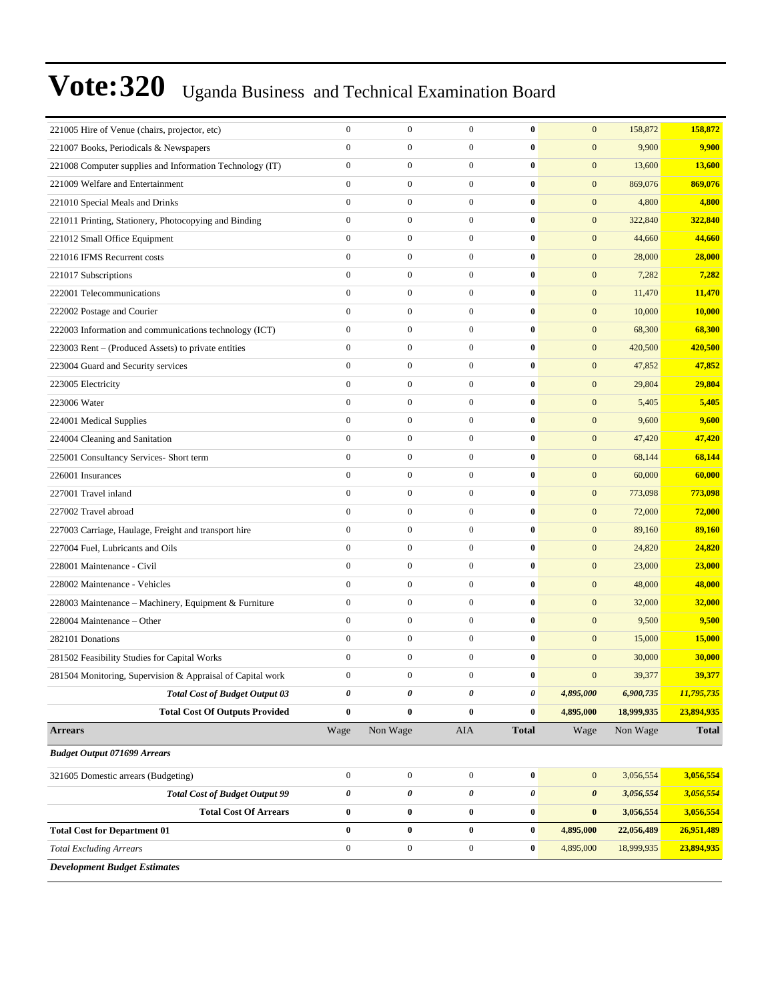| 221005 Hire of Venue (chairs, projector, etc)              | $\boldsymbol{0}$ | $\boldsymbol{0}$ | $\mathbf{0}$     | $\bf{0}$         | $\mathbf{0}$          | 158,872    | 158,872      |
|------------------------------------------------------------|------------------|------------------|------------------|------------------|-----------------------|------------|--------------|
| 221007 Books, Periodicals & Newspapers                     | $\mathbf{0}$     | $\boldsymbol{0}$ | $\boldsymbol{0}$ | $\bf{0}$         | $\mathbf{0}$          | 9,900      | 9,900        |
| 221008 Computer supplies and Information Technology (IT)   | $\boldsymbol{0}$ | $\boldsymbol{0}$ | $\boldsymbol{0}$ | $\bf{0}$         | $\mathbf{0}$          | 13,600     | 13,600       |
| 221009 Welfare and Entertainment                           | $\boldsymbol{0}$ | $\boldsymbol{0}$ | $\boldsymbol{0}$ | $\bf{0}$         | $\boldsymbol{0}$      | 869,076    | 869,076      |
| 221010 Special Meals and Drinks                            | $\mathbf{0}$     | $\boldsymbol{0}$ | $\boldsymbol{0}$ | $\bf{0}$         | $\mathbf{0}$          | 4,800      | 4,800        |
| 221011 Printing, Stationery, Photocopying and Binding      | $\mathbf{0}$     | $\boldsymbol{0}$ | $\overline{0}$   | $\bf{0}$         | $\mathbf{0}$          | 322,840    | 322,840      |
| 221012 Small Office Equipment                              | $\mathbf{0}$     | $\boldsymbol{0}$ | $\boldsymbol{0}$ | $\bf{0}$         | $\mathbf{0}$          | 44,660     | 44,660       |
| 221016 IFMS Recurrent costs                                | $\mathbf{0}$     | $\boldsymbol{0}$ | $\boldsymbol{0}$ | $\bf{0}$         | $\mathbf{0}$          | 28,000     | 28,000       |
| 221017 Subscriptions                                       | $\boldsymbol{0}$ | $\boldsymbol{0}$ | $\boldsymbol{0}$ | $\bf{0}$         | $\boldsymbol{0}$      | 7,282      | 7,282        |
| 222001 Telecommunications                                  | $\mathbf{0}$     | $\boldsymbol{0}$ | $\overline{0}$   | $\bf{0}$         | $\mathbf{0}$          | 11,470     | 11,470       |
| 222002 Postage and Courier                                 | $\mathbf{0}$     | $\boldsymbol{0}$ | $\overline{0}$   | $\bf{0}$         | $\mathbf{0}$          | 10,000     | 10,000       |
| 222003 Information and communications technology (ICT)     | $\mathbf{0}$     | $\boldsymbol{0}$ | $\boldsymbol{0}$ | $\bf{0}$         | $\mathbf{0}$          | 68,300     | 68,300       |
| 223003 Rent - (Produced Assets) to private entities        | $\mathbf{0}$     | $\boldsymbol{0}$ | $\boldsymbol{0}$ | $\bf{0}$         | $\mathbf{0}$          | 420,500    | 420,500      |
| 223004 Guard and Security services                         | $\boldsymbol{0}$ | $\boldsymbol{0}$ | $\boldsymbol{0}$ | $\bf{0}$         | $\boldsymbol{0}$      | 47,852     | 47,852       |
| 223005 Electricity                                         | $\mathbf{0}$     | $\boldsymbol{0}$ | $\overline{0}$   | $\bf{0}$         | $\mathbf{0}$          | 29,804     | 29,804       |
| 223006 Water                                               | $\mathbf{0}$     | $\boldsymbol{0}$ | $\overline{0}$   | $\bf{0}$         | $\mathbf{0}$          | 5,405      | 5,405        |
| 224001 Medical Supplies                                    | $\mathbf{0}$     | $\boldsymbol{0}$ | $\boldsymbol{0}$ | $\bf{0}$         | $\mathbf{0}$          | 9,600      | 9,600        |
| 224004 Cleaning and Sanitation                             | $\mathbf{0}$     | $\boldsymbol{0}$ | $\boldsymbol{0}$ | $\bf{0}$         | $\mathbf{0}$          | 47,420     | 47,420       |
| 225001 Consultancy Services- Short term                    | $\boldsymbol{0}$ | $\boldsymbol{0}$ | $\boldsymbol{0}$ | $\bf{0}$         | $\boldsymbol{0}$      | 68,144     | 68,144       |
| 226001 Insurances                                          | $\mathbf{0}$     | $\boldsymbol{0}$ | $\boldsymbol{0}$ | $\bf{0}$         | $\mathbf{0}$          | 60,000     | 60,000       |
| 227001 Travel inland                                       | $\mathbf{0}$     | $\boldsymbol{0}$ | $\overline{0}$   | $\bf{0}$         | $\mathbf{0}$          | 773,098    | 773,098      |
| 227002 Travel abroad                                       | $\mathbf{0}$     | $\boldsymbol{0}$ | $\boldsymbol{0}$ | $\bf{0}$         | $\mathbf{0}$          | 72,000     | 72,000       |
| 227003 Carriage, Haulage, Freight and transport hire       | $\boldsymbol{0}$ | $\boldsymbol{0}$ | $\boldsymbol{0}$ | $\bf{0}$         | $\mathbf{0}$          | 89,160     | 89,160       |
| 227004 Fuel, Lubricants and Oils                           | $\boldsymbol{0}$ | $\boldsymbol{0}$ | $\boldsymbol{0}$ | $\bf{0}$         | $\boldsymbol{0}$      | 24,820     | 24,820       |
| 228001 Maintenance - Civil                                 | $\mathbf{0}$     | $\boldsymbol{0}$ | $\overline{0}$   | $\bf{0}$         | $\mathbf{0}$          | 23,000     | 23,000       |
| 228002 Maintenance - Vehicles                              | $\mathbf{0}$     | $\boldsymbol{0}$ | $\overline{0}$   | $\bf{0}$         | $\mathbf{0}$          | 48,000     | 48,000       |
| 228003 Maintenance – Machinery, Equipment & Furniture      | $\mathbf{0}$     | $\boldsymbol{0}$ | $\boldsymbol{0}$ | $\bf{0}$         | $\mathbf{0}$          | 32,000     | 32,000       |
| 228004 Maintenance - Other                                 | $\mathbf{0}$     | $\boldsymbol{0}$ | $\boldsymbol{0}$ | $\bf{0}$         | $\mathbf{0}$          | 9,500      | 9,500        |
| 282101 Donations                                           | $\mathbf{0}$     | $\boldsymbol{0}$ | $\boldsymbol{0}$ | $\bf{0}$         | $\boldsymbol{0}$      | 15,000     | 15,000       |
| 281502 Feasibility Studies for Capital Works               | $\mathbf{0}$     | $\boldsymbol{0}$ | $\overline{0}$   | $\bf{0}$         | $\mathbf{0}$          | 30,000     | 30,000       |
| 281504 Monitoring, Supervision & Appraisal of Capital work | $\mathbf{0}$     | $\mathbf{0}$     | $\mathbf{0}$     | $\bf{0}$         | $\mathbf{0}$          | 39,377     | 39,377       |
| <b>Total Cost of Budget Output 03</b>                      | $\pmb{\theta}$   | $\pmb{\theta}$   | 0                | $\pmb{\theta}$   | 4,895,000             | 6,900,735  | 11,795,735   |
| <b>Total Cost Of Outputs Provided</b>                      | $\bf{0}$         | $\bf{0}$         | $\bf{0}$         | $\bf{0}$         | 4,895,000             | 18,999,935 | 23,894,935   |
| <b>Arrears</b>                                             | Wage             | Non Wage         | AIA              | <b>Total</b>     | Wage                  | Non Wage   | <b>Total</b> |
| <b>Budget Output 071699 Arrears</b>                        |                  |                  |                  |                  |                       |            |              |
| 321605 Domestic arrears (Budgeting)                        | $\boldsymbol{0}$ | $\boldsymbol{0}$ | $\boldsymbol{0}$ | $\boldsymbol{0}$ | $\mathbf{0}$          | 3,056,554  | 3,056,554    |
| <b>Total Cost of Budget Output 99</b>                      | $\pmb{\theta}$   | 0                | 0                | $\pmb{\theta}$   | $\boldsymbol{\theta}$ | 3,056,554  | 3,056,554    |
| <b>Total Cost Of Arrears</b>                               | $\bf{0}$         | $\bf{0}$         | $\bf{0}$         | $\bf{0}$         | $\bf{0}$              | 3,056,554  | 3,056,554    |
| <b>Total Cost for Department 01</b>                        | $\bf{0}$         | $\pmb{0}$        | $\bf{0}$         | $\bf{0}$         | 4,895,000             | 22,056,489 | 26,951,489   |
| <b>Total Excluding Arrears</b>                             | $\boldsymbol{0}$ | $\boldsymbol{0}$ | $\boldsymbol{0}$ | $\bf{0}$         | 4,895,000             | 18,999,935 | 23,894,935   |
| <b>Development Budget Estimates</b>                        |                  |                  |                  |                  |                       |            |              |